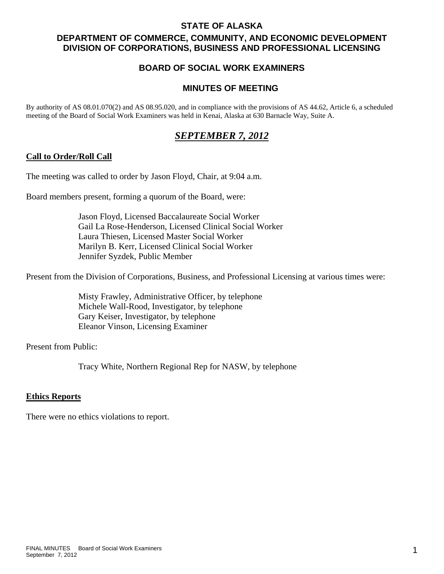## **STATE OF ALASKA**

# **DEPARTMENT OF COMMERCE, COMMUNITY, AND ECONOMIC DEVELOPMENT DIVISION OF CORPORATIONS, BUSINESS AND PROFESSIONAL LICENSING**

# **BOARD OF SOCIAL WORK EXAMINERS**

# **MINUTES OF MEETING**

By authority of AS 08.01.070(2) and AS 08.95.020, and in compliance with the provisions of AS 44.62, Article 6, a scheduled meeting of the Board of Social Work Examiners was held in Kenai, Alaska at 630 Barnacle Way, Suite A.

# *SEPTEMBER 7, 2012*

## **Call to Order/Roll Call**

The meeting was called to order by Jason Floyd, Chair, at 9:04 a.m.

Board members present, forming a quorum of the Board, were:

 Jason Floyd, Licensed Baccalaureate Social Worker Gail La Rose-Henderson, Licensed Clinical Social Worker Laura Thiesen, Licensed Master Social Worker Marilyn B. Kerr, Licensed Clinical Social Worker Jennifer Syzdek, Public Member

Present from the Division of Corporations, Business, and Professional Licensing at various times were:

 Misty Frawley, Administrative Officer, by telephone Michele Wall-Rood, Investigator, by telephone Gary Keiser, Investigator, by telephone Eleanor Vinson, Licensing Examiner

Present from Public:

Tracy White, Northern Regional Rep for NASW, by telephone

#### **Ethics Reports**

There were no ethics violations to report.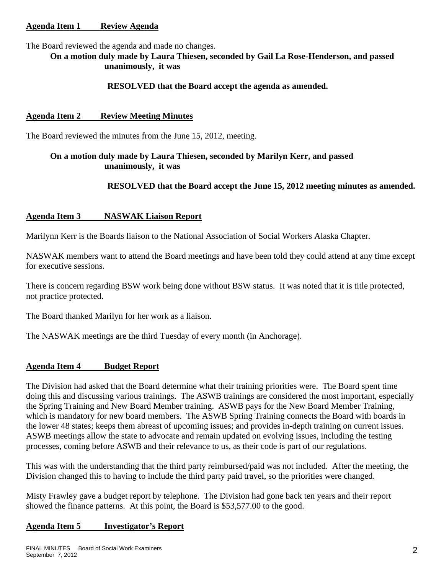# **Agenda Item 1 Review Agenda**

The Board reviewed the agenda and made no changes.

**On a motion duly made by Laura Thiesen, seconded by Gail La Rose-Henderson, and passed unanimously, it was** 

#### **RESOLVED that the Board accept the agenda as amended.**

#### **Agenda Item 2 Review Meeting Minutes**

The Board reviewed the minutes from the June 15, 2012, meeting.

# **On a motion duly made by Laura Thiesen, seconded by Marilyn Kerr, and passed unanimously, it was**

## **RESOLVED that the Board accept the June 15, 2012 meeting minutes as amended.**

#### **Agenda Item 3 NASWAK Liaison Report**

Marilynn Kerr is the Boards liaison to the National Association of Social Workers Alaska Chapter.

NASWAK members want to attend the Board meetings and have been told they could attend at any time except for executive sessions.

There is concern regarding BSW work being done without BSW status. It was noted that it is title protected, not practice protected.

The Board thanked Marilyn for her work as a liaison.

The NASWAK meetings are the third Tuesday of every month (in Anchorage).

#### **Agenda Item 4 Budget Report**

The Division had asked that the Board determine what their training priorities were. The Board spent time doing this and discussing various trainings. The ASWB trainings are considered the most important, especially the Spring Training and New Board Member training. ASWB pays for the New Board Member Training, which is mandatory for new board members. The ASWB Spring Training connects the Board with boards in the lower 48 states; keeps them abreast of upcoming issues; and provides in-depth training on current issues. ASWB meetings allow the state to advocate and remain updated on evolving issues, including the testing processes, coming before ASWB and their relevance to us, as their code is part of our regulations.

This was with the understanding that the third party reimbursed/paid was not included. After the meeting, the Division changed this to having to include the third party paid travel, so the priorities were changed.

Misty Frawley gave a budget report by telephone. The Division had gone back ten years and their report showed the finance patterns. At this point, the Board is \$53,577.00 to the good.

## **Agenda Item 5 Investigator's Report**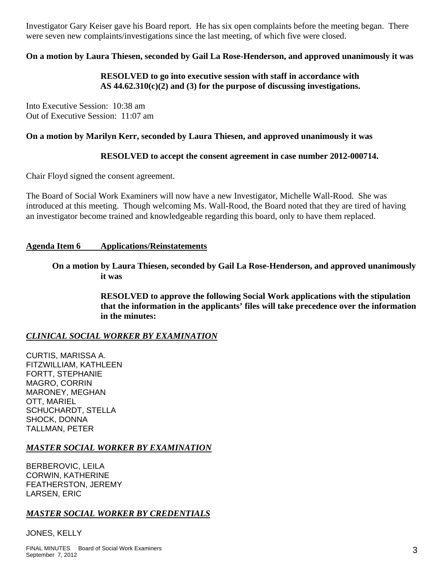Investigator Gary Keiser gave his Board report. He has six open complaints before the meeting began. There were seven new complaints/investigations since the last meeting, of which five were closed.

# **On a motion by Laura Thiesen, seconded by Gail La Rose-Henderson, and approved unanimously it was**

# **RESOLVED to go into executive session with staff in accordance with AS 44.62.310(c)(2) and (3) for the purpose of discussing investigations.**

Into Executive Session: 10:38 am Out of Executive Session: 11:07 am

#### **On a motion by Marilyn Kerr, seconded by Laura Thiesen, and approved unanimously it was**

## **RESOLVED to accept the consent agreement in case number 2012-000714.**

Chair Floyd signed the consent agreement.

The Board of Social Work Examiners will now have a new Investigator, Michelle Wall-Rood. She was introduced at this meeting. Though welcoming Ms. Wall-Rood, the Board noted that they are tired of having an investigator become trained and knowledgeable regarding this board, only to have them replaced.

#### **Agenda Item 6 Applications/Reinstatements**

 **On a motion by Laura Thiesen, seconded by Gail La Rose-Henderson, and approved unanimously it was** 

> **RESOLVED to approve the following Social Work applications with the stipulation that the information in the applicants' files will take precedence over the information in the minutes:**

## *CLINICAL SOCIAL WORKER BY EXAMINATION*

CURTIS, MARISSA A. FITZWILLIAM, KATHLEEN FORTT, STEPHANIE MAGRO, CORRIN MARONEY, MEGHAN OTT, MARIEL SCHUCHARDT, STELLA SHOCK, DONNA TALLMAN, PETER

## *MASTER SOCIAL WORKER BY EXAMINATION*

BERBEROVIC, LEILA CORWIN, KATHERINE FEATHERSTON, JEREMY LARSEN, ERIC

## *MASTER SOCIAL WORKER BY CREDENTIALS*

JONES, KELLY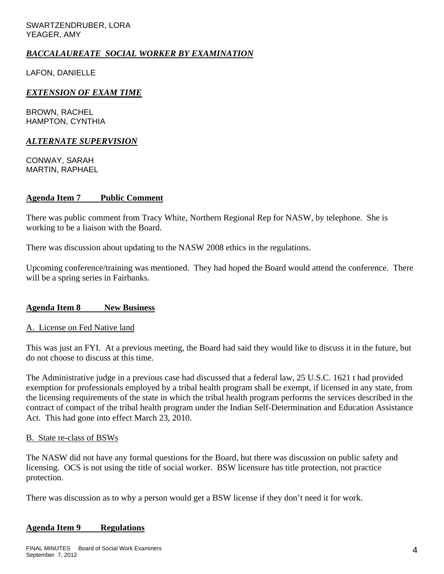SWARTZENDRUBER, LORA YEAGER, AMY

## *BACCALAUREATE SOCIAL WORKER BY EXAMINATION*

LAFON, DANIELLE

#### *EXTENSION OF EXAM TIME*

BROWN, RACHEL HAMPTON, CYNTHIA

#### *ALTERNATE SUPERVISION*

CONWAY, SARAH MARTIN, RAPHAEL

#### **Agenda Item 7 Public Comment**

There was public comment from Tracy White, Northern Regional Rep for NASW, by telephone. She is working to be a liaison with the Board.

There was discussion about updating to the NASW 2008 ethics in the regulations.

Upcoming conference/training was mentioned. They had hoped the Board would attend the conference. There will be a spring series in Fairbanks.

## **Agenda Item 8 New Business**

#### A. License on Fed Native land

This was just an FYI. At a previous meeting, the Board had said they would like to discuss it in the future, but do not choose to discuss at this time.

The Administrative judge in a previous case had discussed that a federal law, 25 U.S.C. 1621 t had provided exemption for professionals employed by a tribal health program shall be exempt, if licensed in any state, from the licensing requirements of the state in which the tribal health program performs the services described in the contract of compact of the tribal health program under the Indian Self-Determination and Education Assistance Act. This had gone into effect March 23, 2010.

#### B. State re-class of BSWs

The NASW did not have any formal questions for the Board, but there was discussion on public safety and licensing. OCS is not using the title of social worker. BSW licensure has title protection, not practice protection.

There was discussion as to why a person would get a BSW license if they don't need it for work.

## **Agenda Item 9 Regulations**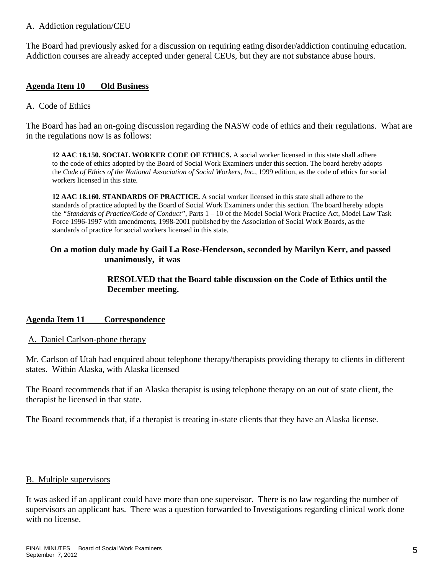# A. Addiction regulation/CEU

The Board had previously asked for a discussion on requiring eating disorder/addiction continuing education. Addiction courses are already accepted under general CEUs, but they are not substance abuse hours.

## **Agenda Item 10 Old Business**

## A. Code of Ethics

The Board has had an on-going discussion regarding the NASW code of ethics and their regulations. What are in the regulations now is as follows:

**12 AAC 18.150. SOCIAL WORKER CODE OF ETHICS.** A social worker licensed in this state shall adhere to the code of ethics adopted by the Board of Social Work Examiners under this section. The board hereby adopts the *Code of Ethics of the National Association of Social Workers, Inc., 1999 edition, as the code of ethics for social* workers licensed in this state.

**12 AAC 18.160. STANDARDS OF PRACTICE.** A social worker licensed in this state shall adhere to the standards of practice adopted by the Board of Social Work Examiners under this section. The board hereby adopts the *"Standards of Practice/Code of Conduct"*, Parts 1 – 10 of the Model Social Work Practice Act, Model Law Task Force 1996-1997 with amendments, 1998-2001 published by the Association of Social Work Boards, as the standards of practice for social workers licensed in this state.

## **On a motion duly made by Gail La Rose-Henderson, seconded by Marilyn Kerr, and passed unanimously, it was**

# **RESOLVED that the Board table discussion on the Code of Ethics until the December meeting.**

## **Agenda Item 11 Correspondence**

## A. Daniel Carlson-phone therapy

Mr. Carlson of Utah had enquired about telephone therapy/therapists providing therapy to clients in different states. Within Alaska, with Alaska licensed

The Board recommends that if an Alaska therapist is using telephone therapy on an out of state client, the therapist be licensed in that state.

The Board recommends that, if a therapist is treating in-state clients that they have an Alaska license.

## B. Multiple supervisors

It was asked if an applicant could have more than one supervisor. There is no law regarding the number of supervisors an applicant has. There was a question forwarded to Investigations regarding clinical work done with no license.